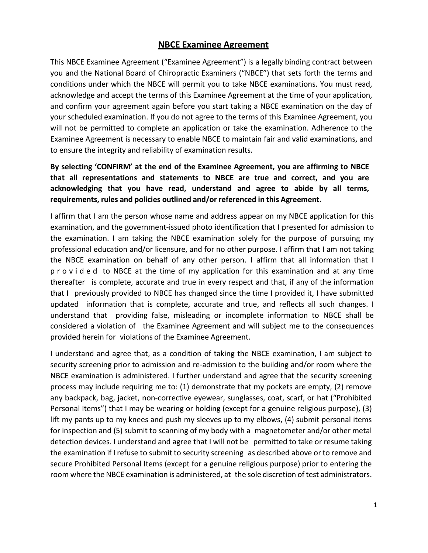## **NBCE Examinee Agreement**

This NBCE Examinee Agreement ("Examinee Agreement") is a legally binding contract between you and the National Board of Chiropractic Examiners ("NBCE") that sets forth the terms and conditions under which the NBCE will permit you to take NBCE examinations. You must read, acknowledge and accept the terms of this Examinee Agreement at the time of your application, and confirm your agreement again before you start taking a NBCE examination on the day of your scheduled examination. If you do not agree to the terms of this Examinee Agreement, you will not be permitted to complete an application or take the examination. Adherence to the Examinee Agreement is necessary to enable NBCE to maintain fair and valid examinations, and to ensure the integrity and reliability of examination results.

**By selecting 'CONFIRM' at the end of the Examinee Agreement, you are affirming to NBCE that all representations and statements to NBCE are true and correct, and you are acknowledging that you have read, understand and agree to abide by all terms, requirements, rules and policies outlined and/or referenced in this Agreement.**

I affirm that I am the person whose name and address appear on my NBCE application for this examination, and the government-issued photo identification that I presented for admission to the examination. I am taking the NBCE examination solely for the purpose of pursuing my professional education and/or licensure, and for no other purpose. I affirm that I am not taking the NBCE examination on behalf of any other person. I affirm that all information that I provided to NBCE at the time of my application for this examination and at any time thereafter is complete, accurate and true in every respect and that, if any of the information that I previously provided to NBCE has changed since the time I provided it, I have submitted updated information that is complete, accurate and true, and reflects all such changes. I understand that providing false, misleading or incomplete information to NBCE shall be considered a violation of the Examinee Agreement and will subject me to the consequences provided herein for violations of the Examinee Agreement.

I understand and agree that, as a condition of taking the NBCE examination, I am subject to security screening prior to admission and re-admission to the building and/or room where the NBCE examination is administered. I further understand and agree that the security screening process may include requiring me to: (1) demonstrate that my pockets are empty, (2) remove any backpack, bag, jacket, non-corrective eyewear, sunglasses, coat, scarf, or hat ("Prohibited Personal Items") that I may be wearing or holding (except for a genuine religious purpose), (3) lift my pants up to my knees and push my sleeves up to my elbows, (4) submit personal items for inspection and (5) submit to scanning of my body with a magnetometer and/or other metal detection devices. I understand and agree that I will not be permitted to take or resume taking the examination if I refuse to submit to security screening as described above or to remove and secure Prohibited Personal Items (except for a genuine religious purpose) prior to entering the room where the NBCE examination is administered, at the sole discretion of test administrators.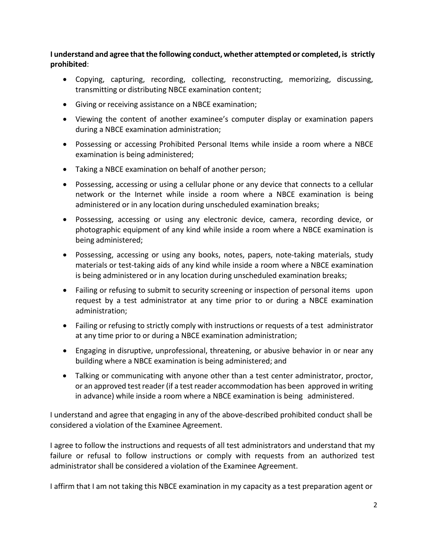**I understand and agree thatthe following conduct, whether attempted or completed, is strictly prohibited**:

- Copying, capturing, recording, collecting, reconstructing, memorizing, discussing, transmitting or distributing NBCE examination content;
- Giving or receiving assistance on a NBCE examination;
- Viewing the content of another examinee's computer display or examination papers during a NBCE examination administration;
- Possessing or accessing Prohibited Personal Items while inside a room where a NBCE examination is being administered;
- Taking a NBCE examination on behalf of another person;
- Possessing, accessing or using a cellular phone or any device that connects to a cellular network or the Internet while inside a room where a NBCE examination is being administered or in any location during unscheduled examination breaks;
- Possessing, accessing or using any electronic device, camera, recording device, or photographic equipment of any kind while inside a room where a NBCE examination is being administered;
- Possessing, accessing or using any books, notes, papers, note-taking materials, study materials or test-taking aids of any kind while inside a room where a NBCE examination is being administered or in any location during unscheduled examination breaks;
- Failing or refusing to submit to security screening or inspection of personal items upon request by a test administrator at any time prior to or during a NBCE examination administration;
- Failing or refusing to strictly comply with instructions or requests of a test administrator at any time prior to or during a NBCE examination administration;
- Engaging in disruptive, unprofessional, threatening, or abusive behavior in or near any building where a NBCE examination is being administered; and
- Talking or communicating with anyone other than a test center administrator, proctor, or an approved testreader(if a test reader accommodation has been approved in writing in advance) while inside a room where a NBCE examination is being administered.

I understand and agree that engaging in any of the above-described prohibited conduct shall be considered a violation of the Examinee Agreement.

I agree to follow the instructions and requests of all test administrators and understand that my failure or refusal to follow instructions or comply with requests from an authorized test administrator shall be considered a violation of the Examinee Agreement.

I affirm that I am not taking this NBCE examination in my capacity as a test preparation agent or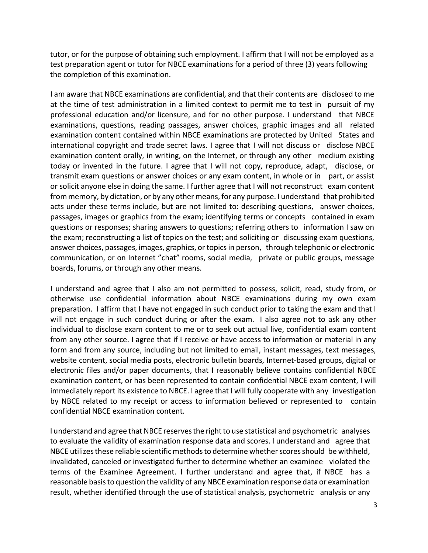tutor, or for the purpose of obtaining such employment. I affirm that I will not be employed as a test preparation agent or tutor for NBCE examinations for a period of three (3) years following the completion of this examination.

I am aware that NBCE examinations are confidential, and that their contents are disclosed to me at the time of test administration in a limited context to permit me to test in pursuit of my professional education and/or licensure, and for no other purpose. I understand that NBCE examinations, questions, reading passages, answer choices, graphic images and all related examination content contained within NBCE examinations are protected by United States and international copyright and trade secret laws. I agree that I will not discuss or disclose NBCE examination content orally, in writing, on the Internet, or through any other medium existing today or invented in the future. I agree that I will not copy, reproduce, adapt, disclose, or transmit exam questions or answer choices or any exam content, in whole or in part, or assist or solicit anyone else in doing the same. I further agree that I will not reconstruct exam content from memory, by dictation, or by any other means, for any purpose. I understand that prohibited acts under these terms include, but are not limited to: describing questions, answer choices, passages, images or graphics from the exam; identifying terms or concepts contained in exam questions or responses; sharing answers to questions; referring others to information I saw on the exam; reconstructing a list of topics on the test; and soliciting or discussing exam questions, answer choices, passages, images, graphics, or topicsin person, through telephonic or electronic communication, or on Internet "chat" rooms, social media, private or public groups, message boards, forums, or through any other means.

I understand and agree that I also am not permitted to possess, solicit, read, study from, or otherwise use confidential information about NBCE examinations during my own exam preparation. I affirm that I have not engaged in such conduct prior to taking the exam and that I will not engage in such conduct during or after the exam. I also agree not to ask any other individual to disclose exam content to me or to seek out actual live, confidential exam content from any other source. I agree that if I receive or have access to information or material in any form and from any source, including but not limited to email, instant messages, text messages, website content, social media posts, electronic bulletin boards, Internet-based groups, digital or electronic files and/or paper documents, that I reasonably believe contains confidential NBCE examination content, or has been represented to contain confidential NBCE exam content, I will immediately report its existence to NBCE. I agree that I will fully cooperate with any investigation by NBCE related to my receipt or access to information believed or represented to contain confidential NBCE examination content.

I understand and agree that NBCE reserves the right to use statistical and psychometric analyses to evaluate the validity of examination response data and scores. I understand and agree that NBCE utilizes these reliable scientific methods to determine whether scores should be withheld, invalidated, canceled or investigated further to determine whether an examinee violated the terms of the Examinee Agreement. I further understand and agree that, if NBCE has a reasonable basis to question the validity of any NBCE examination response data or examination result, whether identified through the use of statistical analysis, psychometric analysis or any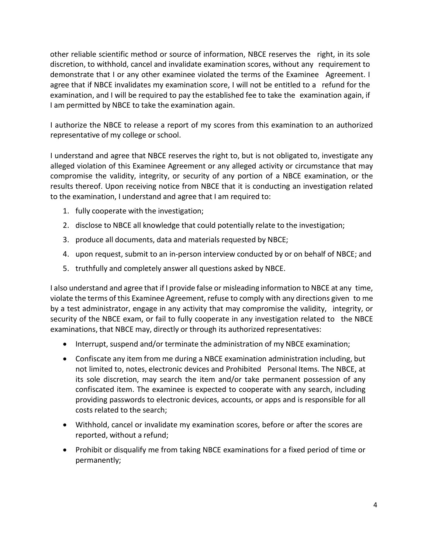other reliable scientific method or source of information, NBCE reserves the right, in its sole discretion, to withhold, cancel and invalidate examination scores, without any requirement to demonstrate that I or any other examinee violated the terms of the Examinee Agreement. I agree that if NBCE invalidates my examination score, I will not be entitled to a refund for the examination, and I will be required to pay the established fee to take the examination again, if I am permitted by NBCE to take the examination again.

I authorize the NBCE to release a report of my scores from this examination to an authorized representative of my college or school.

I understand and agree that NBCE reserves the right to, but is not obligated to, investigate any alleged violation of this Examinee Agreement or any alleged activity or circumstance that may compromise the validity, integrity, or security of any portion of a NBCE examination, or the results thereof. Upon receiving notice from NBCE that it is conducting an investigation related to the examination, I understand and agree that I am required to:

- 1. fully cooperate with the investigation;
- 2. disclose to NBCE all knowledge that could potentially relate to the investigation;
- 3. produce all documents, data and materials requested by NBCE;
- 4. upon request, submit to an in-person interview conducted by or on behalf of NBCE; and
- 5. truthfully and completely answer all questions asked by NBCE.

I also understand and agree that if I provide false or misleading information to NBCE at any time, violate the terms of this Examinee Agreement, refuse to comply with any directions given to me by a test administrator, engage in any activity that may compromise the validity, integrity, or security of the NBCE exam, or fail to fully cooperate in any investigation related to the NBCE examinations, that NBCE may, directly or through its authorized representatives:

- Interrupt, suspend and/or terminate the administration of my NBCE examination;
- Confiscate any item from me during a NBCE examination administration including, but not limited to, notes, electronic devices and Prohibited Personal Items. The NBCE, at its sole discretion, may search the item and/or take permanent possession of any confiscated item. The examinee is expected to cooperate with any search, including providing passwords to electronic devices, accounts, or apps and is responsible for all costs related to the search;
- Withhold, cancel or invalidate my examination scores, before or after the scores are reported, without a refund;
- Prohibit or disqualify me from taking NBCE examinations for a fixed period of time or permanently;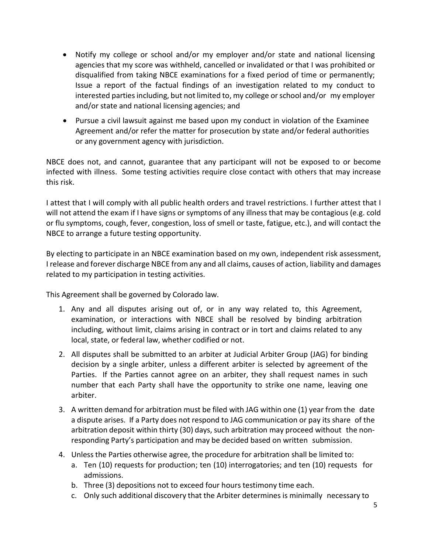- Notify my college or school and/or my employer and/or state and national licensing agencies that my score was withheld, cancelled or invalidated or that I was prohibited or disqualified from taking NBCE examinations for a fixed period of time or permanently; Issue a report of the factual findings of an investigation related to my conduct to interested parties including, but not limited to, my college or school and/or my employer and/or state and national licensing agencies; and
- Pursue a civil lawsuit against me based upon my conduct in violation of the Examinee Agreement and/or refer the matter for prosecution by state and/or federal authorities or any government agency with jurisdiction.

NBCE does not, and cannot, guarantee that any participant will not be exposed to or become infected with illness. Some testing activities require close contact with others that may increase this risk.

I attest that I will comply with all public health orders and travel restrictions. I further attest that I will not attend the exam if I have signs or symptoms of any illness that may be contagious (e.g. cold or flu symptoms, cough, fever, congestion, loss of smell or taste, fatigue, etc.), and will contact the NBCE to arrange a future testing opportunity.

By electing to participate in an NBCE examination based on my own, independent risk assessment, I release and forever discharge NBCE from any and all claims, causes of action, liability and damages related to my participation in testing activities.

This Agreement shall be governed by Colorado law.

- 1. Any and all disputes arising out of, or in any way related to, this Agreement, examination, or interactions with NBCE shall be resolved by binding arbitration including, without limit, claims arising in contract or in tort and claims related to any local, state, or federal law, whether codified or not.
- 2. All disputes shall be submitted to an arbiter at Judicial Arbiter Group (JAG) for binding decision by a single arbiter, unless a different arbiter is selected by agreement of the Parties. If the Parties cannot agree on an arbiter, they shall request names in such number that each Party shall have the opportunity to strike one name, leaving one arbiter.
- 3. A written demand for arbitration must be filed with JAG within one (1) year from the date a dispute arises. If a Party does not respond to JAG communication or pay its share of the arbitration deposit within thirty (30) days, such arbitration may proceed without the nonresponding Party's participation and may be decided based on written submission.
- 4. Unless the Parties otherwise agree, the procedure for arbitration shall be limited to:
	- a. Ten (10) requests for production; ten (10) interrogatories; and ten (10) requests for admissions.
	- b. Three (3) depositions not to exceed four hours testimony time each.
	- c. Only such additional discovery that the Arbiter determines is minimally necessary to